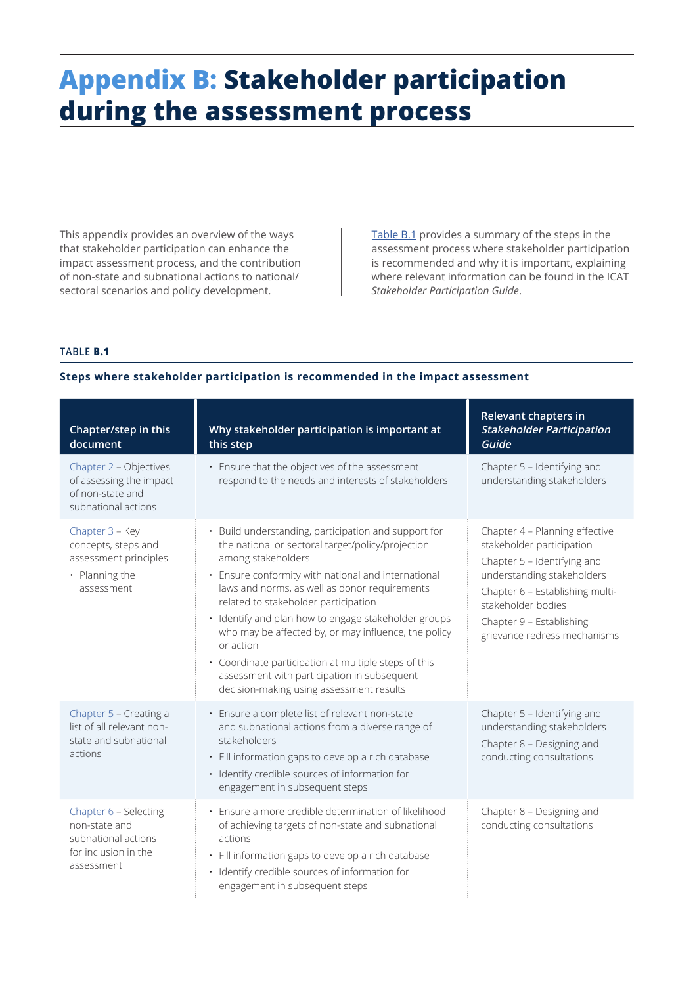# **Appendix B: Stakeholder participation during the assessment process**

This appendix provides an overview of the ways that stakeholder participation can enhance the impact assessment process, and the contribution of non-state and subnational actions to national/ sectoral scenarios and policy development.

Table B.1 provides a summary of the steps in the assessment process where stakeholder participation is recommended and why it is important, explaining where relevant information can be found in the ICAT *Stakeholder Participation Guide*.

## **TABLE B.1**

#### **Steps where stakeholder participation is recommended in the impact assessment**

| Chapter/step in this<br>document                                                                    | Why stakeholder participation is important at<br>this step                                                                                                                                                                                                                                                                                                                                                                                                                                                                                                | Relevant chapters in<br><b>Stakeholder Participation</b><br>Guide                                                                                                                                                                             |
|-----------------------------------------------------------------------------------------------------|-----------------------------------------------------------------------------------------------------------------------------------------------------------------------------------------------------------------------------------------------------------------------------------------------------------------------------------------------------------------------------------------------------------------------------------------------------------------------------------------------------------------------------------------------------------|-----------------------------------------------------------------------------------------------------------------------------------------------------------------------------------------------------------------------------------------------|
| Chapter 2 - Objectives<br>of assessing the impact<br>of non-state and<br>subnational actions        | Ensure that the objectives of the assessment<br>$\bullet$<br>respond to the needs and interests of stakeholders                                                                                                                                                                                                                                                                                                                                                                                                                                           | Chapter 5 - Identifying and<br>understanding stakeholders                                                                                                                                                                                     |
| Chapter 3 - Key<br>concepts, steps and<br>assessment principles<br>• Planning the<br>assessment     | Build understanding, participation and support for<br>the national or sectoral target/policy/projection<br>among stakeholders<br>Ensure conformity with national and international<br>laws and norms, as well as donor requirements<br>related to stakeholder participation<br>Identify and plan how to engage stakeholder groups<br>who may be affected by, or may influence, the policy<br>or action<br>· Coordinate participation at multiple steps of this<br>assessment with participation in subsequent<br>decision-making using assessment results | Chapter 4 - Planning effective<br>stakeholder participation<br>Chapter 5 - Identifying and<br>understanding stakeholders<br>Chapter 6 - Establishing multi-<br>stakeholder bodies<br>Chapter 9 - Establishing<br>grievance redress mechanisms |
| Chapter 5 - Creating a<br>list of all relevant non-<br>state and subnational<br>actions             | Ensure a complete list of relevant non-state<br>$\bullet$<br>and subnational actions from a diverse range of<br>stakeholders<br>· Fill information gaps to develop a rich database<br>· Identify credible sources of information for<br>engagement in subsequent steps                                                                                                                                                                                                                                                                                    | Chapter 5 - Identifying and<br>understanding stakeholders<br>Chapter 8 - Designing and<br>conducting consultations                                                                                                                            |
| Chapter 6 - Selecting<br>non-state and<br>subnational actions<br>for inclusion in the<br>assessment | Ensure a more credible determination of likelihood<br>of achieving targets of non-state and subnational<br>actions<br>Fill information gaps to develop a rich database<br>Identify credible sources of information for<br>engagement in subsequent steps                                                                                                                                                                                                                                                                                                  | Chapter 8 - Designing and<br>conducting consultations                                                                                                                                                                                         |